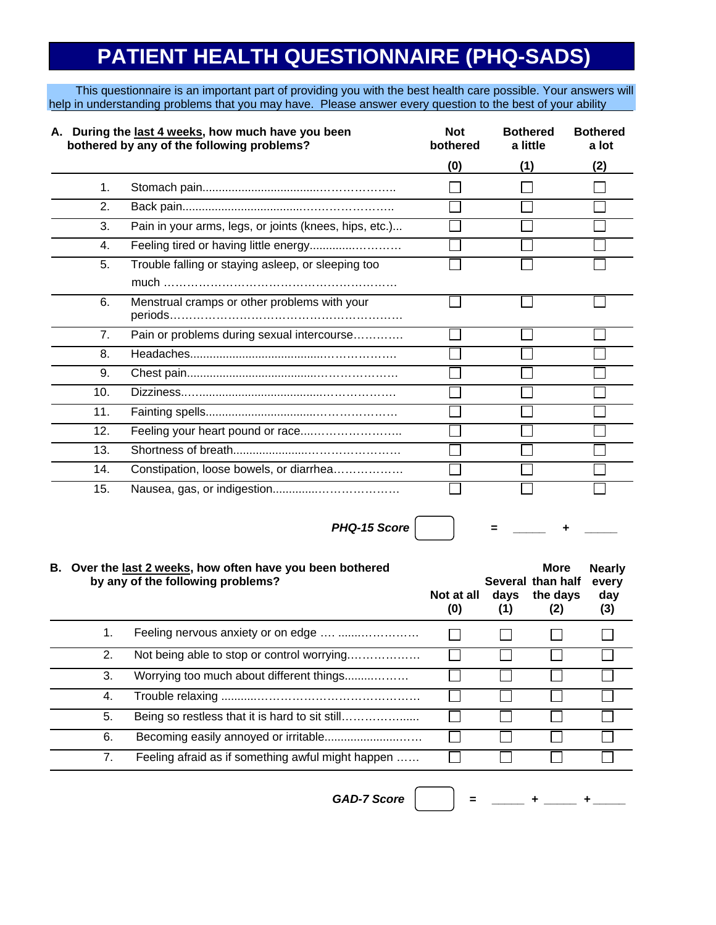## **PATIENT HEALTH QUESTIONNAIRE (PHQ-SADS)**

This questionnaire is an important part of providing you with the best health care possible. Your answers will help in understanding problems that you may have. Please answer every question to the best of your ability

| A. During the last 4 weeks, how much have you been<br>bothered by any of the following problems? |                                                        | <b>Not</b><br>bothered | <b>Bothered</b><br>a little | <b>Bothered</b><br>a lot |
|--------------------------------------------------------------------------------------------------|--------------------------------------------------------|------------------------|-----------------------------|--------------------------|
|                                                                                                  |                                                        | (0)                    | (1)                         | (2)                      |
| 1 <sub>1</sub>                                                                                   |                                                        |                        |                             |                          |
| 2.                                                                                               |                                                        |                        |                             |                          |
| 3.                                                                                               | Pain in your arms, legs, or joints (knees, hips, etc.) |                        |                             |                          |
| 4.                                                                                               |                                                        |                        |                             |                          |
| 5.                                                                                               | Trouble falling or staying asleep, or sleeping too     |                        |                             |                          |
|                                                                                                  |                                                        |                        |                             |                          |
| 6.                                                                                               | Menstrual cramps or other problems with your           |                        |                             |                          |
|                                                                                                  |                                                        |                        |                             |                          |
| 7.                                                                                               | Pain or problems during sexual intercourse             |                        |                             |                          |
| 8.                                                                                               |                                                        |                        |                             |                          |
| 9.                                                                                               |                                                        |                        |                             |                          |
| 10.                                                                                              |                                                        |                        |                             |                          |
| 11.                                                                                              |                                                        |                        |                             |                          |
| 12.                                                                                              | Feeling your heart pound or race                       |                        |                             |                          |
| 13.                                                                                              |                                                        |                        |                             |                          |
| 14.                                                                                              | Constipation, loose bowels, or diarrhea                |                        |                             |                          |
| 15.                                                                                              |                                                        |                        |                             |                          |

*PHQ-15 Score*  $|$   $|$   $=$   $|$   $=$   $|$   $+$ 

## **B. Over the last 2 weeks, how often have you been bothered More Nearly by any of the following problems? Several than half every Not at all days the days day (0) (1) (2) (3)** 1. Feeling nervous anxiety or on edge .... ......................  $\Box$ П П П 2. Not being able to stop or control worrying.………………  $\Box$  $\Box$  $\overline{\phantom{a}}$  $\Box$ 3. Worrying too much about different things.........………  $\Box$  $\Box$  $\Box$ 4. Trouble relaxing ...........……………………………………  $\Box$ П ┓  $\Box$ 5. Being so restless that it is hard to sit still…………………  $\mathcal{L}_{\mathcal{A}}$  $\Box$ 6. Becoming easily annoyed or irritable.......................……  $\Box$  $\Box$ 7. Feeling afraid as if something awful might happen ……  $\Box$  $\Box$ П

 $GAD-7$  Score  $|$   $|$  =  $|$  =  $|$  +  $|$  +  $|$